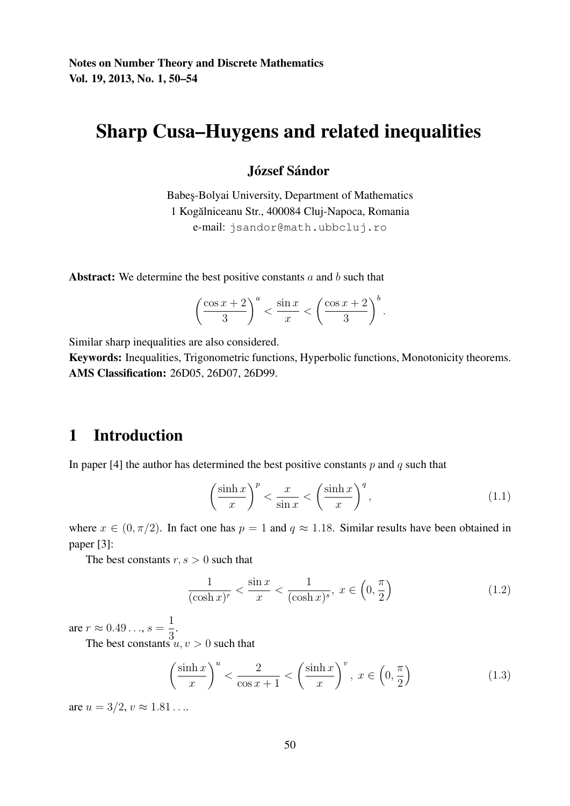# Sharp Cusa–Huygens and related inequalities

#### József Sándor

Babes¸-Bolyai University, Department of Mathematics 1 Kogalniceanu Str., 400084 Cluj-Napoca, Romania ˘ e-mail: jsandor@math.ubbcluj.ro

Abstract: We determine the best positive constants  $a$  and  $b$  such that

$$
\left(\frac{\cos x + 2}{3}\right)^a < \frac{\sin x}{x} < \left(\frac{\cos x + 2}{3}\right)^b.
$$

Similar sharp inequalities are also considered.

Keywords: Inequalities, Trigonometric functions, Hyperbolic functions, Monotonicity theorems. AMS Classification: 26D05, 26D07, 26D99.

### 1 Introduction

In paper [4] the author has determined the best positive constants  $p$  and  $q$  such that

$$
\left(\frac{\sinh x}{x}\right)^p < \frac{x}{\sin x} < \left(\frac{\sinh x}{x}\right)^q,\tag{1.1}
$$

where  $x \in (0, \pi/2)$ . In fact one has  $p = 1$  and  $q \approx 1.18$ . Similar results have been obtained in paper [3]:

The best constants  $r, s > 0$  such that

$$
\frac{1}{(\cosh x)^r} < \frac{\sin x}{x} < \frac{1}{(\cosh x)^s}, \ x \in \left(0, \frac{\pi}{2}\right) \tag{1.2}
$$

are  $r \approx 0.49...$ ,  $s = \frac{1}{2}$  $\frac{1}{3}$ .

The best constants  $u, v > 0$  such that

$$
\left(\frac{\sinh x}{x}\right)^u < \frac{2}{\cos x + 1} < \left(\frac{\sinh x}{x}\right)^v, \ x \in \left(0, \frac{\pi}{2}\right) \tag{1.3}
$$

are  $u = 3/2, v \approx 1.81...$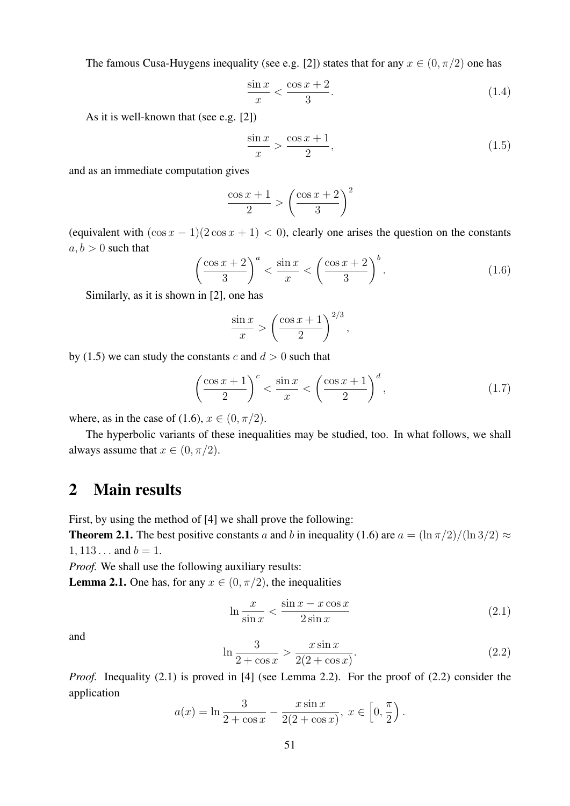The famous Cusa-Huygens inequality (see e.g. [2]) states that for any  $x \in (0, \pi/2)$  one has

$$
\frac{\sin x}{x} < \frac{\cos x + 2}{3}.\tag{1.4}
$$

As it is well-known that (see e.g. [2])

$$
\frac{\sin x}{x} > \frac{\cos x + 1}{2},\tag{1.5}
$$

and as an immediate computation gives

$$
\frac{\cos x + 1}{2} > \left(\frac{\cos x + 2}{3}\right)^2
$$

(equivalent with  $(\cos x - 1)(2 \cos x + 1) < 0$ ), clearly one arises the question on the constants  $a, b > 0$  such that

$$
\left(\frac{\cos x + 2}{3}\right)^a < \frac{\sin x}{x} < \left(\frac{\cos x + 2}{3}\right)^b. \tag{1.6}
$$

Similarly, as it is shown in [2], one has

$$
\frac{\sin x}{x} > \left(\frac{\cos x + 1}{2}\right)^{2/3},
$$

by (1.5) we can study the constants c and  $d > 0$  such that

$$
\left(\frac{\cos x + 1}{2}\right)^c < \frac{\sin x}{x} < \left(\frac{\cos x + 1}{2}\right)^d,\tag{1.7}
$$

where, as in the case of (1.6),  $x \in (0, \pi/2)$ .

The hyperbolic variants of these inequalities may be studied, too. In what follows, we shall always assume that  $x \in (0, \pi/2)$ .

#### 2 Main results

First, by using the method of [4] we shall prove the following:

**Theorem 2.1.** The best positive constants a and b in inequality (1.6) are  $a = \frac{\ln \pi}{2} / (\ln 3/2) \approx$  $1, 113...$  and  $b = 1$ .

*Proof.* We shall use the following auxiliary results:

**Lemma 2.1.** One has, for any  $x \in (0, \pi/2)$ , the inequalities

$$
\ln \frac{x}{\sin x} < \frac{\sin x - x \cos x}{2 \sin x} \tag{2.1}
$$

and

$$
\ln \frac{3}{2 + \cos x} > \frac{x \sin x}{2(2 + \cos x)}.
$$
\n(2.2)

*Proof.* Inequality (2.1) is proved in [4] (see Lemma 2.2). For the proof of (2.2) consider the application

$$
a(x) = \ln \frac{3}{2 + \cos x} - \frac{x \sin x}{2(2 + \cos x)}, x \in [0, \frac{\pi}{2}).
$$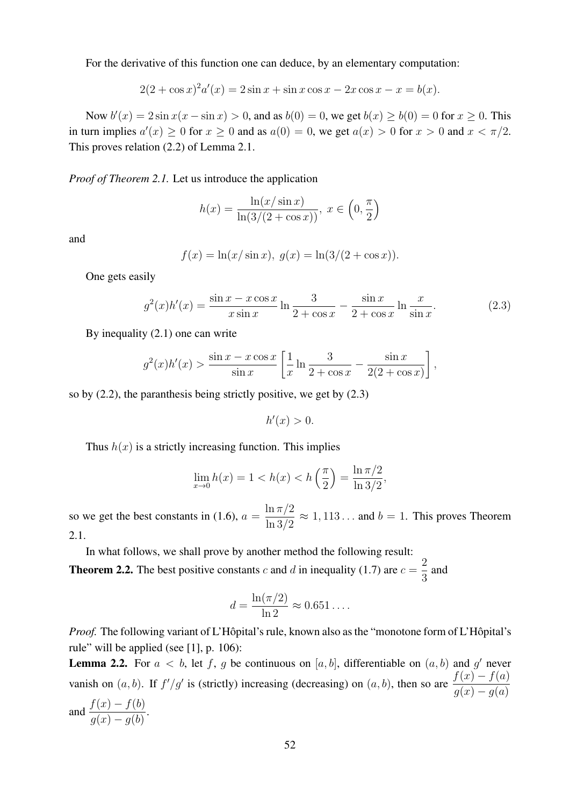For the derivative of this function one can deduce, by an elementary computation:

$$
2(2 + \cos x)^{2} a'(x) = 2\sin x + \sin x \cos x - 2x \cos x - x = b(x).
$$

Now  $b'(x) = 2 \sin x(x - \sin x) > 0$ , and as  $b(0) = 0$ , we get  $b(x) \ge b(0) = 0$  for  $x \ge 0$ . This in turn implies  $a'(x) \ge 0$  for  $x \ge 0$  and as  $a(0) = 0$ , we get  $a(x) > 0$  for  $x > 0$  and  $x < \pi/2$ . This proves relation (2.2) of Lemma 2.1.

*Proof of Theorem 2.1.* Let us introduce the application

$$
h(x) = \frac{\ln(x/\sin x)}{\ln(3/(2 + \cos x))}, x \in \left(0, \frac{\pi}{2}\right)
$$

and

$$
f(x) = \ln(x/\sin x), \ g(x) = \ln(3/(2 + \cos x)).
$$

One gets easily

$$
g^{2}(x)h'(x) = \frac{\sin x - x \cos x}{x \sin x} \ln \frac{3}{2 + \cos x} - \frac{\sin x}{2 + \cos x} \ln \frac{x}{\sin x}.
$$
 (2.3)

By inequality (2.1) one can write

$$
g^2(x)h'(x) > \frac{\sin x - x \cos x}{\sin x} \left[ \frac{1}{x} \ln \frac{3}{2 + \cos x} - \frac{\sin x}{2(2 + \cos x)} \right],
$$

so by (2.2), the paranthesis being strictly positive, we get by (2.3)

$$
h'(x) > 0.
$$

Thus  $h(x)$  is a strictly increasing function. This implies

$$
\lim_{x \to 0} h(x) = 1 < h(x) < h\left(\frac{\pi}{2}\right) = \frac{\ln \pi/2}{\ln 3/2},
$$

so we get the best constants in (1.6),  $a =$  $\ln \pi/2$  $\frac{\ln n/2}{\ln 3/2} \approx 1,113...$  and  $b = 1$ . This proves Theorem 2.1.

In what follows, we shall prove by another method the following result:

**Theorem 2.2.** The best positive constants c and d in inequality (1.7) are  $c =$ 2  $\frac{2}{3}$  and

$$
d = \frac{\ln(\pi/2)}{\ln 2} \approx 0.651\dots.
$$

*Proof.* The following variant of L'Hôpital's rule, known also as the "monotone form of L'Hôpital's rule" will be applied (see [1], p. 106):

**Lemma 2.2.** For  $a < b$ , let f, g be continuous on [a, b], differentiable on  $(a, b)$  and g' never vanish on  $(a, b)$ . If  $f'/g'$  is (strictly) increasing (decreasing) on  $(a, b)$ , then so are  $\frac{f(x) - f(a)}{g(x) - g(a)}$ 

and 
$$
\frac{f(x) - f(b)}{g(x) - g(b)}
$$
.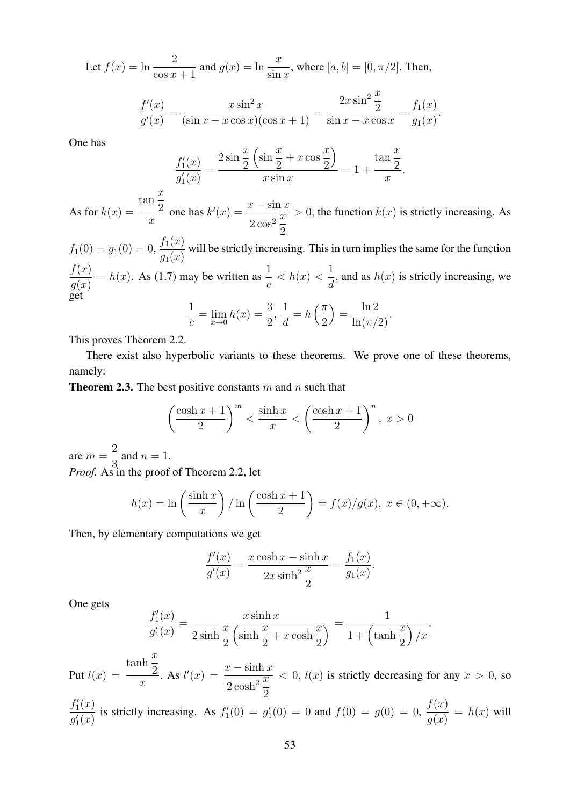Let  $f(x) = \ln \frac{2}{\cos x + 1}$  and  $g(x) = \ln \frac{x}{\sin x}$ , where  $[a, b] = [0, \pi/2]$ . Then,

$$
\frac{f'(x)}{g'(x)} = \frac{x \sin^2 x}{(\sin x - x \cos x)(\cos x + 1)} = \frac{2x \sin^2 \frac{x}{2}}{\sin x - x \cos x} = \frac{f_1(x)}{g_1(x)}.
$$

One has

$$
\frac{f_1'(x)}{g_1'(x)} = \frac{2\sin\frac{x}{2}\left(\sin\frac{x}{2} + x\cos\frac{x}{2}\right)}{x\sin x} = 1 + \frac{\tan\frac{x}{2}}{x}.
$$

As for  $k(x) =$ tan  $\overline{x}$ 2  $\frac{\ln \frac{1}{2}}{x}$  one has  $k'(x) = \frac{x - \sin x}{2 \cos^2 \frac{x}{2}}$  $\sqrt{2\cos^2{\frac{x}{2}}}$ 2  $> 0$ , the function  $k(x)$  is strictly increasing. As

$$
f_1(0) = g_1(0) = 0, \frac{f_1(x)}{g_1(x)}
$$
 will be strictly increasing. This in turn implies the same for the function 
$$
\frac{f(x)}{g(x)} = h(x).
$$
 As (1.7) may be written as  $\frac{1}{c} < h(x) < \frac{1}{d}$ , and as  $h(x)$  is strictly increasing, we get 
$$
\frac{1}{c} = \lim_{x \to 0} h(x) = \frac{3}{2}, \frac{1}{d} = h\left(\frac{\pi}{2}\right) = \frac{\ln 2}{\ln(\pi/2)}.
$$

This proves Theorem 2.2.

There exist also hyperbolic variants to these theorems. We prove one of these theorems, namely:

**Theorem 2.3.** The best positive constants m and n such that

$$
\left(\frac{\cosh x + 1}{2}\right)^m < \frac{\sinh x}{x} < \left(\frac{\cosh x + 1}{2}\right)^n, \ x > 0
$$

are  $m =$ 2  $\frac{2}{3}$  and  $n = 1$ . *Proof.* As in the proof of Theorem 2.2, let

$$
h(x) = \ln\left(\frac{\sinh x}{x}\right) / \ln\left(\frac{\cosh x + 1}{2}\right) = f(x)/g(x), \ x \in (0, +\infty).
$$

Then, by elementary computations we get

$$
\frac{f'(x)}{g'(x)} = \frac{x \cosh x - \sinh x}{2x \sinh^2 \frac{x}{2}} = \frac{f_1(x)}{g_1(x)}.
$$

One gets

$$
\frac{f_1'(x)}{g_1'(x)} = \frac{x \sinh x}{2 \sinh \frac{x}{2} \left(\sinh \frac{x}{2} + x \cosh \frac{x}{2}\right)} = \frac{1}{1 + \left(\tanh \frac{x}{2}\right) / x}.
$$

Put  $l(x) =$  $\tanh \frac{x}{2}$ 2  $\frac{\ln \frac{\pi}{2}}{x}$ . As  $l'(x) = \frac{x - \sinh x}{2 \cosh^2 \frac{x}{2}}$  $\sqrt{2\cosh^2{\frac{x}{2}}}$ 2  $< 0, l(x)$  is strictly decreasing for any  $x > 0$ , so

 $f_1'(x)$  $\frac{f_1(x)}{g_1'(x)}$  is strictly increasing. As  $f_1'(0) = g_1'(0) = 0$  and  $f(0) = g(0) = 0$ ,  $f(x)$  $\frac{f(x)}{g(x)} = h(x)$  will